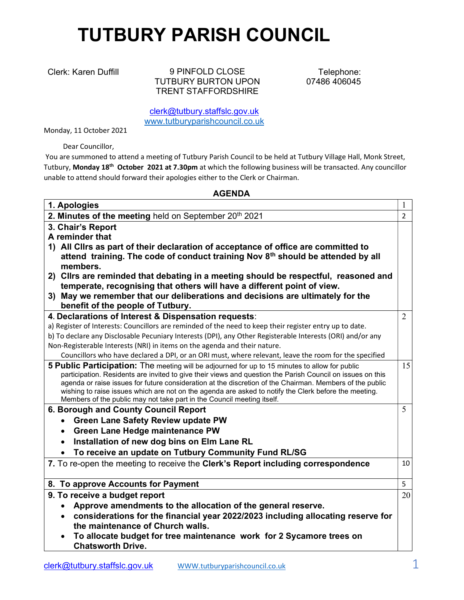## TUTBURY PARISH COUNCIL

Clerk: Karen Duffill 9 PINFOLD CLOSE TUTBURY BURTON UPON TRENT STAFFORDSHIRE

Telephone: 07486 406045

clerk@tutbury.staffslc.gov.uk www.tutburyparishcouncil.co.uk

Monday, 11 October 2021

Dear Councillor,

 You are summoned to attend a meeting of Tutbury Parish Council to be held at Tutbury Village Hall, Monk Street, Tutbury, Monday 18th October 2021 at 7.30pm at which the following business will be transacted. Any councillor unable to attend should forward their apologies either to the Clerk or Chairman.

## AGENDA

| 1. Apologies                                                                                                                                                                                                                                                                                                                                                                                                                                                                                                | 1              |
|-------------------------------------------------------------------------------------------------------------------------------------------------------------------------------------------------------------------------------------------------------------------------------------------------------------------------------------------------------------------------------------------------------------------------------------------------------------------------------------------------------------|----------------|
| 2. Minutes of the meeting held on September 20th 2021                                                                                                                                                                                                                                                                                                                                                                                                                                                       | $\overline{2}$ |
| 3. Chair's Report                                                                                                                                                                                                                                                                                                                                                                                                                                                                                           |                |
| A reminder that                                                                                                                                                                                                                                                                                                                                                                                                                                                                                             |                |
| 1) All Clirs as part of their declaration of acceptance of office are committed to                                                                                                                                                                                                                                                                                                                                                                                                                          |                |
| attend training. The code of conduct training Nov 8th should be attended by all                                                                                                                                                                                                                                                                                                                                                                                                                             |                |
| members.                                                                                                                                                                                                                                                                                                                                                                                                                                                                                                    |                |
| 2) Cllrs are reminded that debating in a meeting should be respectful, reasoned and                                                                                                                                                                                                                                                                                                                                                                                                                         |                |
| temperate, recognising that others will have a different point of view.                                                                                                                                                                                                                                                                                                                                                                                                                                     |                |
| 3) May we remember that our deliberations and decisions are ultimately for the                                                                                                                                                                                                                                                                                                                                                                                                                              |                |
| benefit of the people of Tutbury.                                                                                                                                                                                                                                                                                                                                                                                                                                                                           |                |
| 4. Declarations of Interest & Dispensation requests:                                                                                                                                                                                                                                                                                                                                                                                                                                                        | $\overline{2}$ |
| a) Register of Interests: Councillors are reminded of the need to keep their register entry up to date.                                                                                                                                                                                                                                                                                                                                                                                                     |                |
| b) To declare any Disclosable Pecuniary Interests (DPI), any Other Registerable Interests (ORI) and/or any                                                                                                                                                                                                                                                                                                                                                                                                  |                |
| Non-Registerable Interests (NRI) in items on the agenda and their nature.                                                                                                                                                                                                                                                                                                                                                                                                                                   |                |
| Councillors who have declared a DPI, or an ORI must, where relevant, leave the room for the specified                                                                                                                                                                                                                                                                                                                                                                                                       |                |
| 5 Public Participation: The meeting will be adjourned for up to 15 minutes to allow for public<br>participation. Residents are invited to give their views and question the Parish Council on issues on this<br>agenda or raise issues for future consideration at the discretion of the Chairman. Members of the public<br>wishing to raise issues which are not on the agenda are asked to notify the Clerk before the meeting.<br>Members of the public may not take part in the Council meeting itself. | 15             |
| 6. Borough and County Council Report                                                                                                                                                                                                                                                                                                                                                                                                                                                                        | 5              |
| <b>Green Lane Safety Review update PW</b>                                                                                                                                                                                                                                                                                                                                                                                                                                                                   |                |
| Green Lane Hedge maintenance PW                                                                                                                                                                                                                                                                                                                                                                                                                                                                             |                |
| Installation of new dog bins on Elm Lane RL                                                                                                                                                                                                                                                                                                                                                                                                                                                                 |                |
| To receive an update on Tutbury Community Fund RL/SG                                                                                                                                                                                                                                                                                                                                                                                                                                                        |                |
| 7. To re-open the meeting to receive the Clerk's Report including correspondence                                                                                                                                                                                                                                                                                                                                                                                                                            | 10             |
| 8. To approve Accounts for Payment                                                                                                                                                                                                                                                                                                                                                                                                                                                                          | 5              |
| 9. To receive a budget report                                                                                                                                                                                                                                                                                                                                                                                                                                                                               | 20             |
| Approve amendments to the allocation of the general reserve.                                                                                                                                                                                                                                                                                                                                                                                                                                                |                |
| considerations for the financial year 2022/2023 including allocating reserve for<br>the maintenance of Church walls.                                                                                                                                                                                                                                                                                                                                                                                        |                |
| To allocate budget for tree maintenance work for 2 Sycamore trees on<br><b>Chatsworth Drive.</b>                                                                                                                                                                                                                                                                                                                                                                                                            |                |